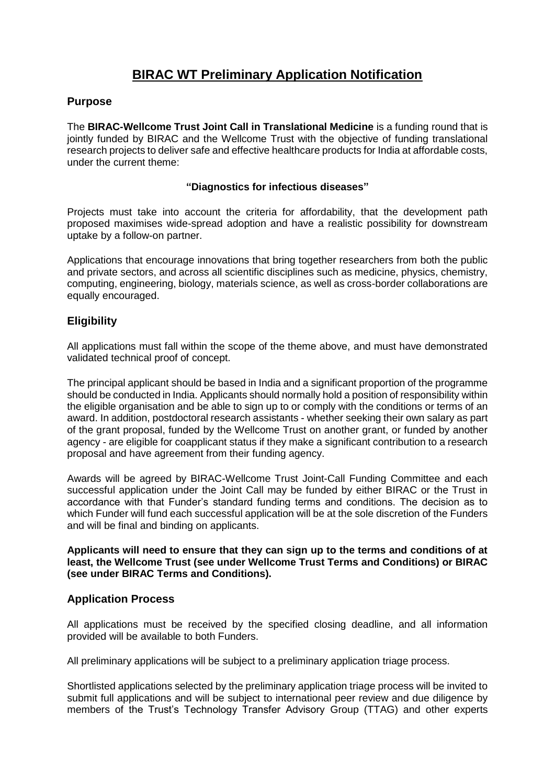# **BIRAC WT Preliminary Application Notification**

## **Purpose**

The **BIRAC-Wellcome Trust Joint Call in Translational Medicine** is a funding round that is jointly funded by BIRAC and the Wellcome Trust with the objective of funding translational research projects to deliver safe and effective healthcare products for India at affordable costs, under the current theme:

### **"Diagnostics for infectious diseases"**

Projects must take into account the criteria for affordability, that the development path proposed maximises wide-spread adoption and have a realistic possibility for downstream uptake by a follow-on partner.

Applications that encourage innovations that bring together researchers from both the public and private sectors, and across all scientific disciplines such as medicine, physics, chemistry, computing, engineering, biology, materials science, as well as cross-border collaborations are equally encouraged.

# **Eligibility**

All applications must fall within the scope of the theme above, and must have demonstrated validated technical proof of concept.

The principal applicant should be based in India and a significant proportion of the programme should be conducted in India. Applicants should normally hold a position of responsibility within the eligible organisation and be able to sign up to or comply with the conditions or terms of an award. In addition, postdoctoral research assistants - whether seeking their own salary as part of the grant proposal, funded by the Wellcome Trust on another grant, or funded by another agency - are eligible for coapplicant status if they make a significant contribution to a research proposal and have agreement from their funding agency.

Awards will be agreed by BIRAC-Wellcome Trust Joint-Call Funding Committee and each successful application under the Joint Call may be funded by either BIRAC or the Trust in accordance with that Funder's standard funding terms and conditions. The decision as to which Funder will fund each successful application will be at the sole discretion of the Funders and will be final and binding on applicants.

**Applicants will need to ensure that they can sign up to the terms and conditions of at least, the Wellcome Trust (see under Wellcome Trust Terms and Conditions) or BIRAC (see under BIRAC Terms and Conditions).**

## **Application Process**

All applications must be received by the specified closing deadline, and all information provided will be available to both Funders.

All preliminary applications will be subject to a preliminary application triage process.

Shortlisted applications selected by the preliminary application triage process will be invited to submit full applications and will be subject to international peer review and due diligence by members of the Trust's Technology Transfer Advisory Group (TTAG) and other experts